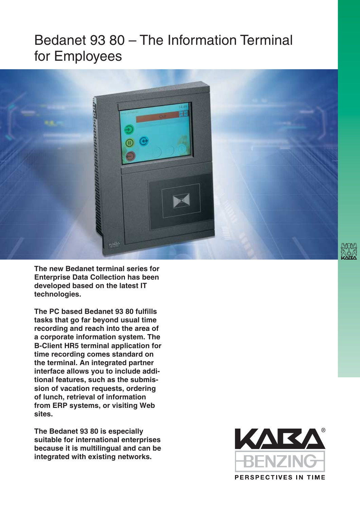## Bedanet 93 80 – The Information Terminal for Employees



**The new Bedanet terminal series for Enterprise Data Collection has been developed based on the latest IT technologies.**

**The PC based Bedanet 93 80 fulfills tasks that go far beyond usual time recording and reach into the area of a corporate information system. The B-Client HR5 terminal application for time recording comes standard on the terminal. An integrated partner interface allows you to include additional features, such as the submission of vacation requests, ordering of lunch, retrieval of information from ERP systems, or visiting Web sites.**

**The Bedanet 93 80 is especially suitable for international enterprises because it is multilingual and can be integrated with existing networks.**